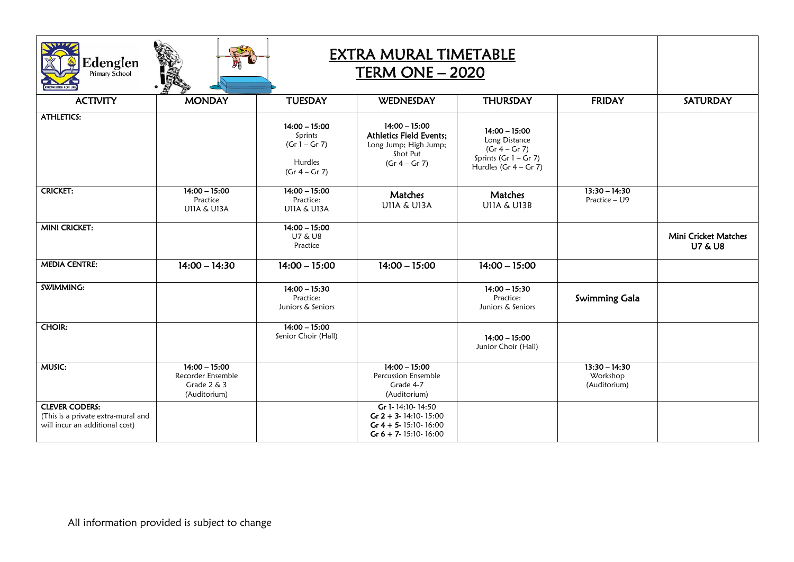| EXTRA MURAL TIMETABLE<br>$\mathop{\bf Edenglen}\limits_{\rm Primary\ School}$<br><b>TERM ONE - 2020</b> |                                                                        |                                                                             |                                                                                                            |                                                                                                           |                                             |                                                   |
|---------------------------------------------------------------------------------------------------------|------------------------------------------------------------------------|-----------------------------------------------------------------------------|------------------------------------------------------------------------------------------------------------|-----------------------------------------------------------------------------------------------------------|---------------------------------------------|---------------------------------------------------|
| <b>ACTIVITY</b>                                                                                         | <b>MONDAY</b>                                                          | <b>TUESDAY</b>                                                              | <b>WEDNESDAY</b>                                                                                           | <b>THURSDAY</b>                                                                                           | <b>FRIDAY</b>                               | <b>SATURDAY</b>                                   |
| <b>ATHLETICS:</b>                                                                                       |                                                                        | $14:00 - 15:00$<br>Sprints<br>$(Gr 1 - Gr 7)$<br>Hurdles<br>$(Gr 4 - Gr 7)$ | $14:00 - 15:00$<br><b>Athletics Field Events:</b><br>Long Jump; High Jump;<br>Shot Put<br>$(Gr 4 - Gr 7)$  | $14:00 - 15:00$<br>Long Distance<br>$(Gr 4 - Gr 7)$<br>Sprints (Gr $1 -$ Gr 7)<br>Hurdles (Gr $4 -$ Gr 7) |                                             |                                                   |
| <b>CRICKET:</b>                                                                                         | $14:00 - 15:00$<br>Practice<br><b>U11A &amp; U13A</b>                  | $14:00 - 15:00$<br>Practice:<br><b>U11A &amp; U13A</b>                      | Matches<br><b>U11A &amp; U13A</b>                                                                          | Matches<br><b>U11A &amp; U13B</b>                                                                         | $13:30 - 14:30$<br>Practice - U9            |                                                   |
| <b>MINI CRICKET:</b>                                                                                    |                                                                        | $14:00 - 15:00$<br><b>U7 &amp; U8</b><br>Practice                           |                                                                                                            |                                                                                                           |                                             | <b>Mini Cricket Matches</b><br><b>U7 &amp; U8</b> |
| <b>MEDIA CENTRE:</b>                                                                                    | $14:00 - 14:30$                                                        | $14:00 - 15:00$                                                             | $14:00 - 15:00$                                                                                            | $14:00 - 15:00$                                                                                           |                                             |                                                   |
| SWIMMING:                                                                                               |                                                                        | $14:00 - 15:30$<br>Practice:<br>Juniors & Seniors                           |                                                                                                            | $14:00 - 15:30$<br>Practice:<br>Juniors & Seniors                                                         | <b>Swimming Gala</b>                        |                                                   |
| <b>CHOIR:</b>                                                                                           |                                                                        | $14:00 - 15:00$<br>Senior Choir (Hall)                                      |                                                                                                            | $14:00 - 15:00$<br>Junior Choir (Hall)                                                                    |                                             |                                                   |
| <b>MUSIC:</b>                                                                                           | $14:00 - 15:00$<br>Recorder Ensemble<br>Grade $2 \& 3$<br>(Auditorium) |                                                                             | $14:00 - 15:00$<br>Percussion Ensemble<br>Grade 4-7<br>(Auditorium)                                        |                                                                                                           | $13:30 - 14:30$<br>Workshop<br>(Auditorium) |                                                   |
| <b>CLEVER CODERS:</b><br>(This is a private extra-mural and<br>will incur an additional cost)           |                                                                        |                                                                             | Gr 1-14:10-14:50<br>Gr $2 + 3 - 14:10 - 15:00$<br>Gr $4 + 5 - 15:10 - 16:00$<br>Gr $6 + 7 - 15:10 - 16:00$ |                                                                                                           |                                             |                                                   |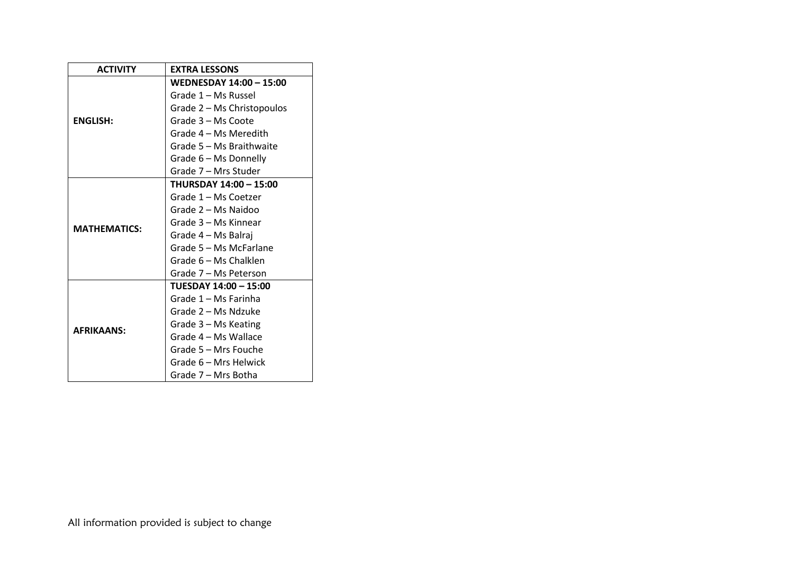| <b>ACTIVITY</b>     | <b>EXTRA LESSONS</b>           |  |  |  |
|---------------------|--------------------------------|--|--|--|
|                     | <b>WEDNESDAY 14:00 - 15:00</b> |  |  |  |
|                     | Grade 1 - Ms Russel            |  |  |  |
|                     | Grade 2 - Ms Christopoulos     |  |  |  |
| <b>ENGLISH:</b>     | Grade 3 - Ms Coote             |  |  |  |
|                     | Grade 4 – Ms Meredith          |  |  |  |
|                     | Grade 5 – Ms Braithwaite       |  |  |  |
|                     | Grade 6 - Ms Donnelly          |  |  |  |
|                     | Grade 7 – Mrs Studer           |  |  |  |
|                     | <b>THURSDAY 14:00 - 15:00</b>  |  |  |  |
|                     | Grade 1 – Ms Coetzer           |  |  |  |
|                     | Grade 2 – Ms Naidoo            |  |  |  |
| <b>MATHEMATICS:</b> | Grade 3 – Ms Kinnear           |  |  |  |
|                     | Grade 4 – Ms Balraj            |  |  |  |
|                     | Grade 5 – Ms McFarlane         |  |  |  |
|                     | Grade 6 – Ms Chalklen          |  |  |  |
|                     | Grade 7 – Ms Peterson          |  |  |  |
|                     | TUESDAY 14:00 - 15:00          |  |  |  |
|                     | Grade 1 – Ms Farinha           |  |  |  |
|                     | Grade 2 – Ms Ndzuke            |  |  |  |
| <b>AFRIKAANS:</b>   | Grade 3 – Ms Keating           |  |  |  |
|                     | Grade 4 – Ms Wallace           |  |  |  |
|                     | Grade 5 – Mrs Fouche           |  |  |  |
|                     | Grade 6 – Mrs Helwick          |  |  |  |
|                     | Grade 7 – Mrs Botha            |  |  |  |